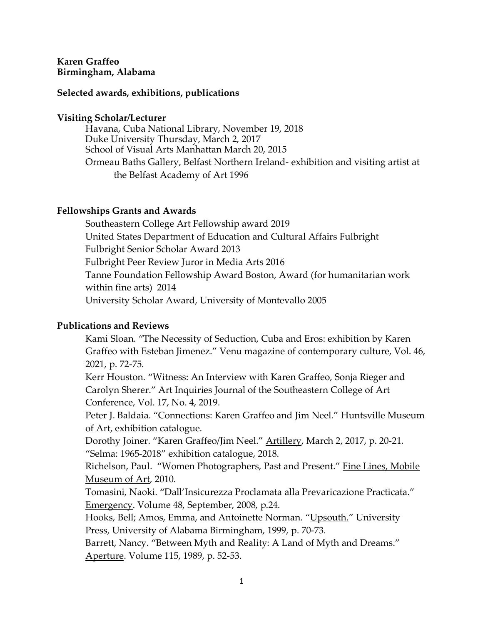**Karen Graffeo Birmingham, Alabama**

#### **Selected awards, exhibitions, publications**

#### **Visiting Scholar/Lecturer**

Havana, Cuba National Library, November 19, 2018 Duke University Thursday, March 2, 2017 School of Visual Arts Manhattan March 20, 2015 Ormeau Baths Gallery, Belfast Northern Ireland- exhibition and visiting artist at the Belfast Academy of Art 1996

### **Fellowships Grants and Awards**

Southeastern College Art Fellowship award 2019 United States Department of Education and Cultural Affairs Fulbright Fulbright Senior Scholar Award 2013 Fulbright Peer Review Juror in Media Arts 2016 Tanne Foundation Fellowship Award Boston, Award (for humanitarian work within fine arts) 2014 University Scholar Award, University of Montevallo 2005

### **Publications and Reviews**

Kami Sloan. "The Necessity of Seduction, Cuba and Eros: exhibition by Karen Graffeo with Esteban Jimenez." Venu magazine of contemporary culture, Vol. 46, 2021, p. 72-75.

Kerr Houston. "Witness: An Interview with Karen Graffeo, Sonja Rieger and Carolyn Sherer." Art Inquiries Journal of the Southeastern College of Art Conference, Vol. 17, No. 4, 2019.

Peter J. Baldaia. "Connections: Karen Graffeo and Jim Neel." Huntsville Museum of Art, exhibition catalogue.

Dorothy Joiner. "Karen Graffeo/Jim Neel." Artillery, March 2, 2017, p. 20-21. "Selma: 1965-2018" exhibition catalogue, 2018.

Richelson, Paul. "Women Photographers, Past and Present." Fine Lines, Mobile Museum of Art, 2010.

Tomasini, Naoki. "Dall'Insicurezza Proclamata alla Prevaricazione Practicata." Emergency. Volume 48, September, 2008, p.24.

Hooks, Bell; Amos, Emma, and Antoinette Norman. "Upsouth." University Press, University of Alabama Birmingham, 1999, p. 70-73.

Barrett, Nancy. "Between Myth and Reality: A Land of Myth and Dreams." Aperture. Volume 115, 1989, p. 52-53.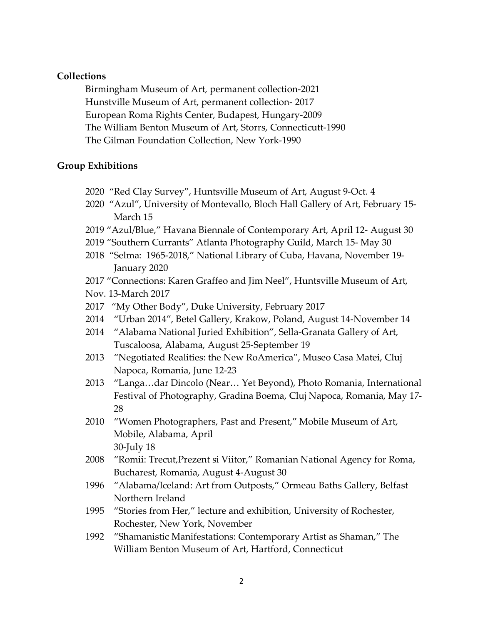# **Collections**

Birmingham Museum of Art, permanent collection-2021 Hunstville Museum of Art, permanent collection- 2017 European Roma Rights Center, Budapest, Hungary-2009 The William Benton Museum of Art, Storrs, Connecticutt-1990 The Gilman Foundation Collection, New York-1990

# **Group Exhibitions**

- 2020 "Red Clay Survey", Huntsville Museum of Art, August 9-Oct. 4
- 2020 "Azul", University of Montevallo, Bloch Hall Gallery of Art, February 15- March 15
- 2019 "Azul/Blue," Havana Biennale of Contemporary Art, April 12- August 30
- 2019 "Southern Currants" Atlanta Photography Guild, March 15- May 30
- 2018 "Selma: 1965-2018," National Library of Cuba, Havana, November 19- January 2020
- 2017 "Connections: Karen Graffeo and Jim Neel", Huntsville Museum of Art,
- Nov. 13-March 2017
- 2017 "My Other Body", Duke University, February 2017
- 2014 "Urban 2014", Betel Gallery, Krakow, Poland, August 14-November 14
- 2014 "Alabama National Juried Exhibition", Sella-Granata Gallery of Art, Tuscaloosa, Alabama, August 25-September 19
- 2013 "Negotiated Realities: the New RoAmerica", Museo Casa Matei, Cluj Napoca, Romania, June 12-23
- 2013 "Langa…dar Dincolo (Near… Yet Beyond), Photo Romania, International Festival of Photography, Gradina Boema, Cluj Napoca, Romania, May 17- 28
- 2010 "Women Photographers, Past and Present," Mobile Museum of Art, Mobile, Alabama, April 30-July 18
- 2008 "Romii: Trecut,Prezent si Viitor," Romanian National Agency for Roma, Bucharest, Romania, August 4-August 30
- 1996 "Alabama/Iceland: Art from Outposts," Ormeau Baths Gallery, Belfast Northern Ireland
- 1995 "Stories from Her," lecture and exhibition, University of Rochester, Rochester, New York, November
- 1992 "Shamanistic Manifestations: Contemporary Artist as Shaman," The William Benton Museum of Art, Hartford, Connecticut